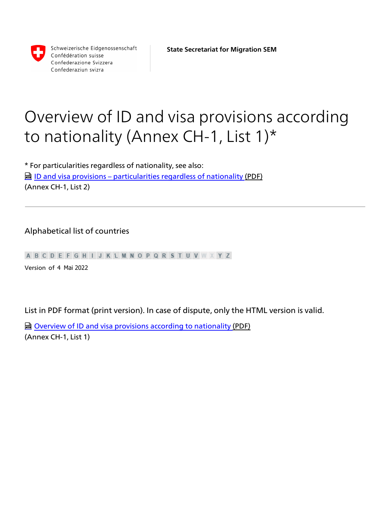

Schweizerische Eidgenossenschaft Confédération suisse Confederazione Svizzera Confederaziun svizra

# Overview of ID and visa provisions according to nationality (Annex CH-1, List 1)\*

\* For particularities regardless of nationality, see also: **h** [ID and visa provisions – particularities regardless of nationality](https://www.sem.admin.ch/dam/sem/en/data/rechtsgrundlagen/weisungen/visa/bfm/bfm-anh01-liste2-e.pdf.download.pdf/bfm-anh01-liste2-e.pdf) (PDF) (Annex CH-1, List 2)

#### Alphabetical list of countries

A B C D E F G H I J K L M N O P Q R S T U V W X Y Z

Version \_of 4 Mai 2022

List in PDF format (print version). In case of dispute, only the HTML version is valid.

**la [Overview of ID and visa provisions according to nationality](https://www.sem.admin.ch/dam/sem/en/data/rechtsgrundlagen/weisungen/visa/bfm/bfm-anh01-liste1-e.pdf.download.pdf/bfm-anh01-liste1-e.pdf) (PDF)** (Annex CH-1, List 1)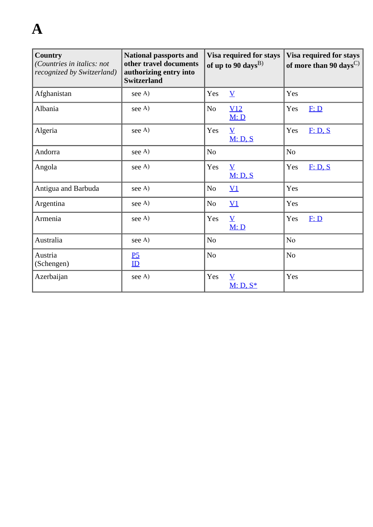# **A**

| <b>Country</b><br>(Countries in italics: not<br>recognized by Switzerland) | <b>National passports and</b><br>other travel documents<br>authorizing entry into<br><b>Switzerland</b> | Visa required for stays<br>of up to 90 days <sup>B)</sup> |                                        | Visa required for stays<br>of more than 90 days <sup><math>C</math></sup> |         |
|----------------------------------------------------------------------------|---------------------------------------------------------------------------------------------------------|-----------------------------------------------------------|----------------------------------------|---------------------------------------------------------------------------|---------|
| Afghanistan                                                                | see A)                                                                                                  | Yes                                                       | $\overline{\mathbf{V}}$                | Yes                                                                       |         |
| Albania                                                                    | see A)                                                                                                  | No                                                        | V12<br>M: D                            | Yes                                                                       | F: D    |
| Algeria                                                                    | see A)                                                                                                  | Yes                                                       | $\underline{V}$<br>M: D, S             | Yes                                                                       | F: D, S |
| Andorra                                                                    | see A)                                                                                                  | N <sub>o</sub>                                            |                                        | N <sub>o</sub>                                                            |         |
| Angola                                                                     | see A)                                                                                                  | Yes                                                       | $\overline{\mathbf{V}}$<br>M: D, S     | Yes                                                                       | F: D, S |
| Antigua and Barbuda                                                        | see A)                                                                                                  | N <sub>o</sub>                                            | $\underline{V1}$                       | Yes                                                                       |         |
| Argentina                                                                  | see A)                                                                                                  | N <sub>o</sub>                                            | $\underline{V1}$                       | Yes                                                                       |         |
| Armenia                                                                    | see A)                                                                                                  | Yes                                                       | $\underline{V}$<br>M: D                | Yes                                                                       | F: D    |
| Australia                                                                  | see A)                                                                                                  | N <sub>o</sub>                                            |                                        | N <sub>o</sub>                                                            |         |
| Austria<br>(Schengen)                                                      | $\underline{P5}$<br>ID                                                                                  | N <sub>o</sub>                                            |                                        | N <sub>o</sub>                                                            |         |
| Azerbaijan                                                                 | see A)                                                                                                  | Yes                                                       | $\overline{\mathbf{V}}$<br>$M: D, S^*$ | Yes                                                                       |         |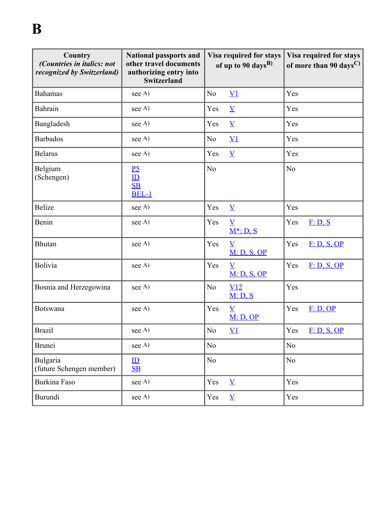| <b>Country</b><br>(Countries in italics: not<br>recognized by Switzerland) | <b>National passports and</b><br>other travel documents<br>authorizing entry into<br>Switzerland | Visa required for stays<br>of up to 90 days <sup>B)</sup> | Visa required for stays<br>of more than 90 days <sup><math>C</math></sup> |
|----------------------------------------------------------------------------|--------------------------------------------------------------------------------------------------|-----------------------------------------------------------|---------------------------------------------------------------------------|
| <b>Bahamas</b>                                                             | see A)                                                                                           | $\underline{V1}$<br>N <sub>o</sub>                        | Yes                                                                       |
| Bahrain                                                                    | see A)                                                                                           | Yes<br>$\underline{V}$                                    | Yes                                                                       |
| Bangladesh                                                                 | see A)                                                                                           | Yes<br>$\underline{V}$                                    | Yes                                                                       |
| <b>Barbados</b>                                                            | see A)                                                                                           | No<br>$\underline{V1}$                                    | Yes                                                                       |
| <b>Belarus</b>                                                             | see A)                                                                                           | Yes<br>$\underline{V}$                                    | Yes                                                                       |
| Belgium<br>(Schengen)                                                      | P <sub>5</sub><br>ID<br>$\underline{\text{SB}}$<br><b>BEL-1</b>                                  | No                                                        | No                                                                        |
| Belize                                                                     | see A)                                                                                           | Yes<br>$\underline{V}$                                    | Yes                                                                       |
| Benin                                                                      | see A)                                                                                           | Yes<br>$\overline{\mathbf{V}}$<br>$M^*$ : D, S            | Yes<br>F: D, S                                                            |
| <b>Bhutan</b>                                                              | see A)                                                                                           | Yes<br>$\overline{\mathbf{V}}$<br>M: D, S, OP             | Yes<br>F: D, S, OP                                                        |
| Bolivia                                                                    | see A)                                                                                           | Yes<br>$\overline{\mathbf{V}}$<br>M: D, S, OP             | Yes<br>F: D, S, OP                                                        |
| Bosnia and Herzegowina                                                     | see A)                                                                                           | No<br>V12<br>M: D, S                                      | Yes                                                                       |
| Botswana                                                                   | see A)                                                                                           | Yes<br>$\overline{\mathbf{V}}$<br>M: D, OP                | Yes<br>F: D, OP                                                           |
| <b>Brazil</b>                                                              | see A)                                                                                           | $\rm No$<br>$\underline{V1}$                              | Yes<br>F: D, S, OP                                                        |
| Brunei                                                                     | see A)                                                                                           | N <sub>o</sub>                                            | No                                                                        |
| Bulgaria<br>(future Schengen member)                                       | $\mathbf{ID}$<br>S <sub>B</sub>                                                                  | No                                                        | N <sub>o</sub>                                                            |
| Burkina Faso                                                               | see A)                                                                                           | Yes<br>$\underline{V}$                                    | Yes                                                                       |
| Burundi                                                                    | see A)                                                                                           | Yes<br>$\overline{\mathbf{V}}$                            | Yes                                                                       |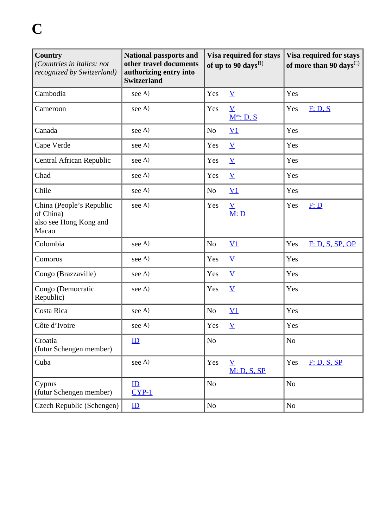| <b>Country</b><br>(Countries in italics: not<br>recognized by Switzerland) | <b>National passports and</b><br>other travel documents<br>authorizing entry into<br><b>Switzerland</b> | Visa required for stays<br>of up to 90 days <sup>B)</sup> |                                         | Visa required for stays<br>of more than 90 days <sup><math>C</math></sup> |                 |
|----------------------------------------------------------------------------|---------------------------------------------------------------------------------------------------------|-----------------------------------------------------------|-----------------------------------------|---------------------------------------------------------------------------|-----------------|
| Cambodia                                                                   | see A)                                                                                                  | Yes                                                       | $\underline{V}$                         | Yes                                                                       |                 |
| Cameroon                                                                   | see A)                                                                                                  | Yes                                                       | $\underline{V}$<br>$M^*$ : D, S         | Yes                                                                       | F: D, S         |
| Canada                                                                     | see A)                                                                                                  | N <sub>0</sub>                                            | $\underline{V1}$                        | Yes                                                                       |                 |
| Cape Verde                                                                 | see A)                                                                                                  | Yes                                                       | $\underline{V}$                         | Yes                                                                       |                 |
| Central African Republic                                                   | see A)                                                                                                  | Yes                                                       | $\underline{V}$                         | Yes                                                                       |                 |
| Chad                                                                       | see A)                                                                                                  | Yes                                                       | $\underline{V}$                         | Yes                                                                       |                 |
| Chile                                                                      | see A)                                                                                                  | N <sub>0</sub>                                            | $\underline{V1}$                        | Yes                                                                       |                 |
| China (People's Republic<br>of China)<br>also see Hong Kong and<br>Macao   | see A)                                                                                                  | Yes                                                       | $\underline{V}$<br>M: D                 | Yes                                                                       | E: D            |
| Colombia                                                                   | see A)                                                                                                  | N <sub>o</sub>                                            | $\underline{V1}$                        | Yes                                                                       | F: D, S, SP, OP |
| Comoros                                                                    | see A)                                                                                                  | Yes                                                       | $\underline{V}$                         | Yes                                                                       |                 |
| Congo (Brazzaville)                                                        | see A)                                                                                                  | Yes                                                       | $\underline{V}$                         | Yes                                                                       |                 |
| Congo (Democratic<br>Republic)                                             | see A)                                                                                                  | Yes                                                       | $\overline{\mathbf{V}}$                 | Yes                                                                       |                 |
| Costa Rica                                                                 | see A)                                                                                                  | N <sub>o</sub>                                            | $\underline{V1}$                        | Yes                                                                       |                 |
| Côte d'Ivoire                                                              | see A)                                                                                                  | Yes                                                       | $\underline{V}$                         | Yes                                                                       |                 |
| Croatia<br>(futur Schengen member)                                         | ID                                                                                                      | N <sub>o</sub>                                            |                                         | N <sub>o</sub>                                                            |                 |
| Cuba                                                                       | see A)                                                                                                  | Yes                                                       | $\underline{\mathbf{V}}$<br>M: D, S, SP | Yes                                                                       | F: D, S, SP     |
| Cyprus<br>(futur Schengen member)                                          | ID<br>$CYP-1$                                                                                           | N <sub>o</sub>                                            |                                         | N <sub>o</sub>                                                            |                 |
| Czech Republic (Schengen)                                                  | ID                                                                                                      | N <sub>o</sub>                                            |                                         | No                                                                        |                 |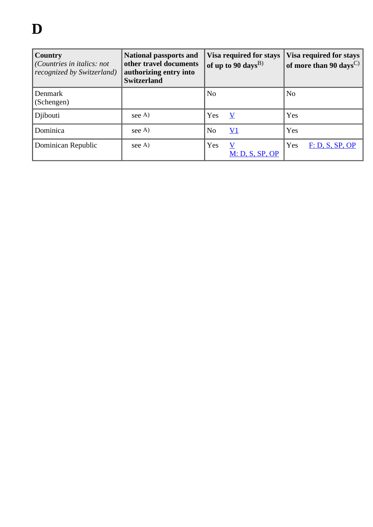| <b>Country</b><br>(Countries in italics: not<br>recognized by Switzerland) | <b>National passports and</b><br>other travel documents<br>authorizing entry into<br><b>Switzerland</b> | Visa required for stays<br>of up to 90 days <sup>B)</sup> | Visa required for stays<br>$\vert$ of more than 90 days $^{\rm C)}$ $\vert$ |
|----------------------------------------------------------------------------|---------------------------------------------------------------------------------------------------------|-----------------------------------------------------------|-----------------------------------------------------------------------------|
| Denmark<br>(Schengen)                                                      |                                                                                                         | N <sub>0</sub>                                            | $\overline{\rm No}$                                                         |
| Djibouti                                                                   | see A)                                                                                                  | Yes<br>V                                                  | Yes                                                                         |
| Dominica                                                                   | see A)                                                                                                  | $\rm V1$<br>N <sub>0</sub>                                | Yes                                                                         |
| Dominican Republic                                                         | see A)                                                                                                  | Yes<br>$\bf V$<br><u>M: D, S, SP, OP</u>                  | Yes<br>F: D, S, SP, OP                                                      |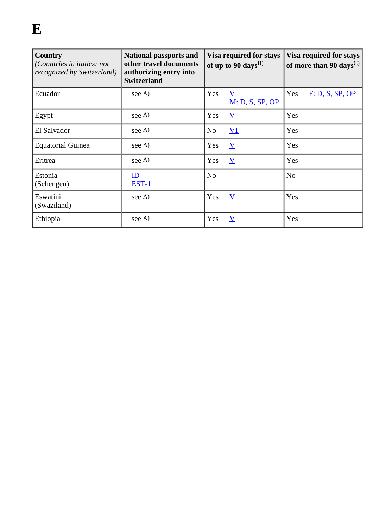| Country<br>(Countries in italics: not<br>recognized by Switzerland) | <b>National passports and</b><br>other travel documents<br>authorizing entry into<br><b>Switzerland</b> |                | Visa required for stays<br>of up to 90 days <sup>B)</sup> | <b>Visa required for stays</b><br>of more than 90 days <sup><math>C</math></sup> |                 |  |
|---------------------------------------------------------------------|---------------------------------------------------------------------------------------------------------|----------------|-----------------------------------------------------------|----------------------------------------------------------------------------------|-----------------|--|
| Ecuador                                                             | see A)                                                                                                  | Yes            | V<br>M: D, S, SP, OP                                      | Yes                                                                              | F: D, S, SP, OP |  |
| Egypt                                                               | see A)                                                                                                  | Yes            | $\overline{\mathbf{Y}}$                                   | Yes                                                                              |                 |  |
| El Salvador                                                         | see A)                                                                                                  | N <sub>o</sub> | $\underline{V1}$                                          | Yes                                                                              |                 |  |
| <b>Equatorial Guinea</b>                                            | see A)                                                                                                  | Yes            | $\overline{\mathbf{V}}$                                   | Yes                                                                              |                 |  |
| Eritrea                                                             | see A)                                                                                                  | Yes            | $\overline{\mathbf{V}}$                                   | Yes                                                                              |                 |  |
| Estonia<br>(Schengen)                                               | ID<br><b>EST-1</b>                                                                                      | N <sub>o</sub> |                                                           | N <sub>o</sub>                                                                   |                 |  |
| Eswatini<br>(Swaziland)                                             | see A)                                                                                                  | Yes            | $\overline{\mathbf{V}}$                                   | Yes                                                                              |                 |  |
| Ethiopia                                                            | see A)                                                                                                  | Yes            | $\overline{\text{V}}$                                     | Yes                                                                              |                 |  |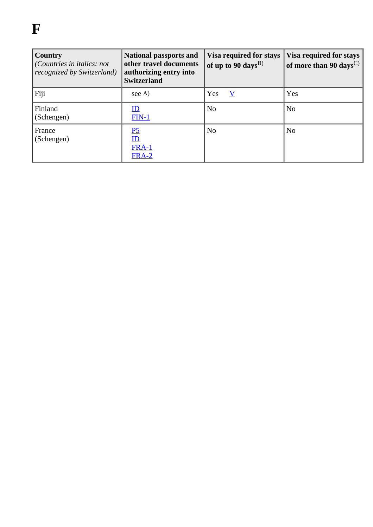# **F**

| Country<br>(Countries in italics: not<br>recognized by Switzerland) | <b>National passports and</b><br>other travel documents<br>authorizing entry into<br><b>Switzerland</b> | Visa required for stays<br>of up to 90 days <sup>B)</sup> | Visa required for stays<br>of more than 90 days <sup><math>C</math></sup> |
|---------------------------------------------------------------------|---------------------------------------------------------------------------------------------------------|-----------------------------------------------------------|---------------------------------------------------------------------------|
| Fiji                                                                | see A)                                                                                                  | Yes<br>V                                                  | Yes                                                                       |
| Finland<br>(Schengen)                                               | <u>ID</u><br>$FIN-1$                                                                                    | N <sub>0</sub>                                            | N <sub>o</sub>                                                            |
| France<br>(Schengen)                                                | P <sub>5</sub><br>ID<br><b>FRA-1</b><br><b>FRA-2</b>                                                    | N <sub>0</sub>                                            | N <sub>0</sub>                                                            |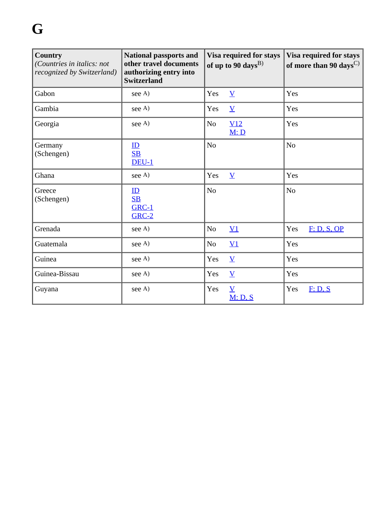| <b>Country</b><br>(Countries in italics: not<br>recognized by Switzerland) | <b>National passports and</b><br>other travel documents<br>authorizing entry into<br><b>Switzerland</b> |                | Visa required for stays<br>of up to 90 days <sup>B)</sup> |          | Visa required for stays<br>of more than 90 days <sup><math>C</math></sup> |
|----------------------------------------------------------------------------|---------------------------------------------------------------------------------------------------------|----------------|-----------------------------------------------------------|----------|---------------------------------------------------------------------------|
| Gabon                                                                      | see A)                                                                                                  | Yes            | $\underline{V}$                                           | Yes      |                                                                           |
| Gambia                                                                     | see A)                                                                                                  | Yes            | $\underline{V}$                                           | Yes      |                                                                           |
| Georgia                                                                    | see A)                                                                                                  | N <sub>o</sub> | V12<br>M: D                                               | Yes      |                                                                           |
| Germany<br>(Schengen)                                                      | $\underline{\mathbf{ID}}$<br>S <sub>B</sub><br>$DEU-1$                                                  | N <sub>o</sub> |                                                           | $\rm No$ |                                                                           |
| Ghana                                                                      | see A)                                                                                                  | Yes            | $\underline{V}$                                           | Yes      |                                                                           |
| Greece<br>(Schengen)                                                       | ID<br>S <sub>B</sub><br><b>GRC-1</b><br><b>GRC-2</b>                                                    | $\rm No$       |                                                           | $\rm No$ |                                                                           |
| Grenada                                                                    | see A)                                                                                                  | N <sub>o</sub> | $\underline{V1}$                                          | Yes      | F: D, S, OP                                                               |
| Guatemala                                                                  | see A)                                                                                                  | No             | $\underline{V1}$                                          | Yes      |                                                                           |
| Guinea                                                                     | see A)                                                                                                  | Yes            | $\underline{V}$                                           | Yes      |                                                                           |
| Guinea-Bissau                                                              | see A)                                                                                                  | Yes            | $\underline{V}$                                           | Yes      |                                                                           |
| Guyana                                                                     | see A)                                                                                                  | Yes            | $\underline{V}$<br>M: D, S                                | Yes      | F: D, S                                                                   |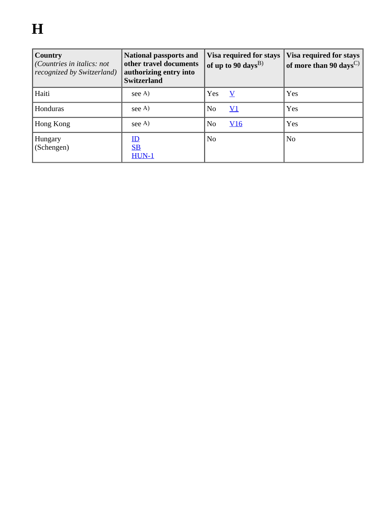| Country<br>(Countries in italics: not<br>recognized by Switzerland) | <b>National passports and</b><br>other travel documents<br>authorizing entry into<br><b>Switzerland</b> | Visa required for stays<br>of up to 90 days <sup>B)</sup> | Visa required for stays<br>of more than 90 days <sup>C)</sup> |
|---------------------------------------------------------------------|---------------------------------------------------------------------------------------------------------|-----------------------------------------------------------|---------------------------------------------------------------|
| Haiti                                                               | see A)                                                                                                  | Yes<br>V                                                  | Yes                                                           |
| Honduras                                                            | see A)                                                                                                  | <u>V1</u><br>N <sub>0</sub>                               | Yes                                                           |
| Hong Kong                                                           | see A)                                                                                                  | N <sub>0</sub><br>V16                                     | Yes                                                           |
| Hungary<br>(Schengen)                                               | $\mathbf{ID}$<br>S <sub>B</sub><br>$HUN-1$                                                              | N <sub>0</sub>                                            | N <sub>0</sub>                                                |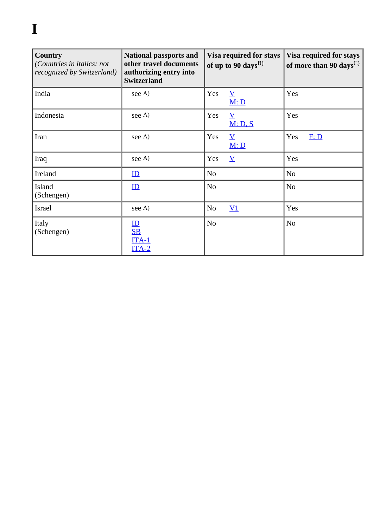# **I**

| Country<br>(Countries in italics: not<br>recognized by Switzerland) | <b>National passports and</b><br>other travel documents<br>authorizing entry into<br><b>Switzerland</b> | Visa required for stays<br>of up to 90 days <sup>B)</sup> | Visa required for stays<br>of more than 90 days <sup><math>C</math></sup> |  |
|---------------------------------------------------------------------|---------------------------------------------------------------------------------------------------------|-----------------------------------------------------------|---------------------------------------------------------------------------|--|
| India                                                               | see A)                                                                                                  | Yes<br>$\overline{\mathbf{V}}$<br>M: D                    | Yes                                                                       |  |
| Indonesia                                                           | see A)                                                                                                  | Yes<br>$\underline{V}$<br>M: D, S                         | Yes                                                                       |  |
| Iran                                                                | see A)                                                                                                  | Yes<br>$\underline{\mathbf{V}}$<br>M: D                   | Yes<br>F: D                                                               |  |
| Iraq                                                                | see A)                                                                                                  | Yes<br>$\overline{\mathbf{V}}$                            | Yes                                                                       |  |
| Ireland                                                             | $\mathbf{ID}$                                                                                           | N <sub>o</sub>                                            | N <sub>o</sub>                                                            |  |
| <b>Island</b><br>(Schengen)                                         | $\mathbf{I} \mathbf{D}$                                                                                 | N <sub>o</sub>                                            | N <sub>o</sub>                                                            |  |
| Israel                                                              | see A)                                                                                                  | N <sub>o</sub><br>$\underline{V1}$                        | Yes                                                                       |  |
| Italy<br>(Schengen)                                                 | $\underline{\text{ID}}$<br>S <sub>B</sub><br>$ITA-1$<br>$ITA-2$                                         | N <sub>o</sub>                                            | N <sub>o</sub>                                                            |  |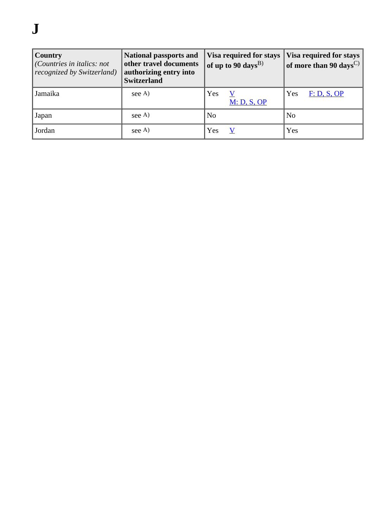# **J**

| Country<br>(Countries in italics: not<br>recognized by Switzerland) | <b>National passports and</b><br>other travel documents<br>authorizing entry into<br><b>Switzerland</b> | Visa required for stays<br>of up to 90 days <sup>B)</sup> | <b>Visa required for stays</b><br>of more than 90 days <sup><math>C</math></sup> |
|---------------------------------------------------------------------|---------------------------------------------------------------------------------------------------------|-----------------------------------------------------------|----------------------------------------------------------------------------------|
| Jamaika                                                             | see A                                                                                                   | Yes<br>M: D, S, OP                                        | Yes<br>F: D, S, OP                                                               |
| Japan                                                               | see A)                                                                                                  | $\overline{\rm No}$                                       | N <sub>0</sub>                                                                   |
| Jordan                                                              | see A)                                                                                                  | Yes                                                       | Yes                                                                              |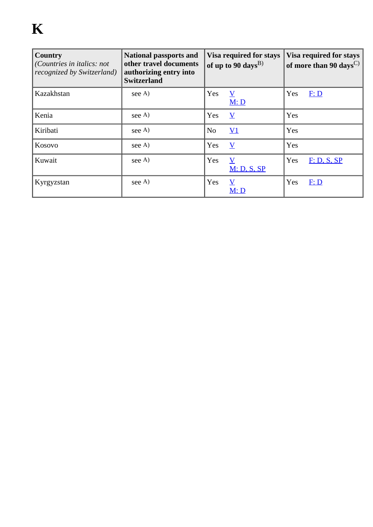| Country<br>(Countries in italics: not<br>recognized by Switzerland) | <b>National passports and</b><br>other travel documents<br>authorizing entry into<br><b>Switzerland</b> | Visa required for stays<br>of up to 90 days <sup>B)</sup> |                                 | Visa required for stays<br>of more than 90 days <sup><math>C</math></sup> |             |
|---------------------------------------------------------------------|---------------------------------------------------------------------------------------------------------|-----------------------------------------------------------|---------------------------------|---------------------------------------------------------------------------|-------------|
| Kazakhstan                                                          | see A)                                                                                                  | Yes                                                       | $\overline{\mathbf{V}}$<br>M: D | Yes                                                                       | F: D        |
| Kenia                                                               | see A)                                                                                                  | Yes                                                       | $\overline{\mathbf{V}}$         | Yes                                                                       |             |
| Kiribati                                                            | see A)                                                                                                  | N <sub>o</sub>                                            | $\underline{V1}$                | Yes                                                                       |             |
| Kosovo                                                              | see A)                                                                                                  | Yes                                                       | $\overline{V}$                  | Yes                                                                       |             |
| Kuwait                                                              | see A)                                                                                                  | Yes                                                       | V<br>M: D, S, SP                | Yes                                                                       | F: D, S, SP |
| Kyrgyzstan                                                          | see A)                                                                                                  | Yes                                                       | $\overline{\mathbf{V}}$<br>M: D | Yes                                                                       | F: D        |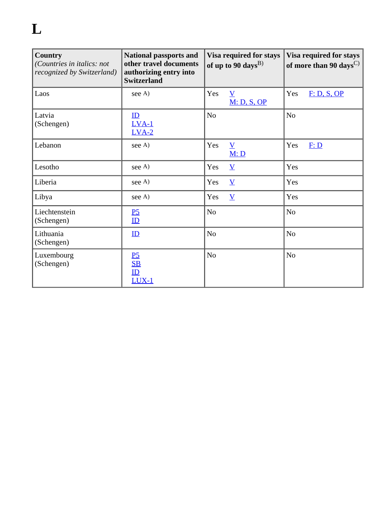# **L**

| <b>Country</b><br>(Countries in italics: not<br>recognized by Switzerland) | <b>National passports and</b><br>other travel documents<br>authorizing entry into<br><b>Switzerland</b> | Visa required for stays<br>of up to 90 days <sup>B)</sup> |                                | Visa required for stays<br>of more than 90 days <sup><math>C</math>)</sup> |             |
|----------------------------------------------------------------------------|---------------------------------------------------------------------------------------------------------|-----------------------------------------------------------|--------------------------------|----------------------------------------------------------------------------|-------------|
| Laos                                                                       | see A)                                                                                                  | Yes                                                       | $\underline{V}$<br>M: D, S, OP | Yes                                                                        | F: D, S, OP |
| Latvia<br>(Schengen)                                                       | $\mathbf{I} \mathbf{D}$<br>$LVA-1$<br>$LVA-2$                                                           | N <sub>o</sub>                                            |                                | N <sub>o</sub>                                                             |             |
| Lebanon                                                                    | see A)                                                                                                  | Yes                                                       | $\underline{V}$<br>M: D        | Yes                                                                        | F: D        |
| Lesotho                                                                    | see A)                                                                                                  | Yes                                                       | $\underline{V}$                | Yes                                                                        |             |
| Liberia                                                                    | see A)                                                                                                  | Yes                                                       | $\underline{V}$                | Yes                                                                        |             |
| Libya                                                                      | see A)                                                                                                  | Yes                                                       | $\overline{\mathbf{V}}$        | Yes                                                                        |             |
| Liechtenstein<br>(Schengen)                                                | P <sub>5</sub><br>$\mathbf{I} \mathbf{D}$                                                               | No                                                        |                                | N <sub>o</sub>                                                             |             |
| Lithuania<br>(Schengen)                                                    | ID                                                                                                      | N <sub>o</sub>                                            |                                | N <sub>0</sub>                                                             |             |
| Luxembourg<br>(Schengen)                                                   | P <sub>5</sub><br>S <sub>B</sub><br>ID<br>$LUX-1$                                                       | N <sub>o</sub>                                            |                                | N <sub>o</sub>                                                             |             |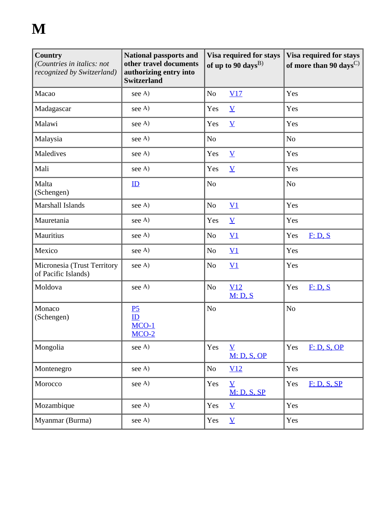# **M**

| <b>Country</b><br>(Countries in italics: not<br>recognized by Switzerland) | <b>National passports and</b><br>other travel documents<br>authorizing entry into<br><b>Switzerland</b> | Visa required for stays<br>of up to 90 days <sup>B)</sup> | Visa required for stays<br>of more than 90 days <sup><math>C)</math></sup> |
|----------------------------------------------------------------------------|---------------------------------------------------------------------------------------------------------|-----------------------------------------------------------|----------------------------------------------------------------------------|
| Macao                                                                      | see A)                                                                                                  | N <sub>0</sub><br>V17                                     | Yes                                                                        |
| Madagascar                                                                 | see A)                                                                                                  | Yes<br>$\underline{V}$                                    | Yes                                                                        |
| Malawi                                                                     | see A)                                                                                                  | Yes<br>$\underline{V}$                                    | Yes                                                                        |
| Malaysia                                                                   | see A)                                                                                                  | No                                                        | N <sub>o</sub>                                                             |
| Maledives                                                                  | see A)                                                                                                  | Yes<br>$\underline{V}$                                    | Yes                                                                        |
| Mali                                                                       | see A)                                                                                                  | $\underline{V}$<br>Yes                                    | Yes                                                                        |
| Malta<br>(Schengen)                                                        | $\mathbf{D}$                                                                                            | N <sub>o</sub>                                            | N <sub>o</sub>                                                             |
| Marshall Islands                                                           | see A)                                                                                                  | $\underline{V1}$<br>N <sub>0</sub>                        | Yes                                                                        |
| Mauretania                                                                 | see A)                                                                                                  | Yes<br>$\underline{V}$                                    | Yes                                                                        |
| Mauritius                                                                  | see A)                                                                                                  | $\underline{V1}$<br>N <sub>o</sub>                        | F: D, S<br>Yes                                                             |
| Mexico                                                                     | see A)                                                                                                  | $\underline{V1}$<br>N <sub>o</sub>                        | Yes                                                                        |
| Micronesia (Trust Territory<br>of Pacific Islands)                         | see A)                                                                                                  | N <sub>o</sub><br>$\underline{V1}$                        | Yes                                                                        |
| Moldova                                                                    | see A)                                                                                                  | No<br>V12<br>M: D, S                                      | Yes<br>F: D, S                                                             |
| Monaco<br>(Schengen)                                                       | P <sub>5</sub><br>ID<br>$MCO-1$<br>$MCO-2$                                                              | N <sub>o</sub>                                            | N <sub>o</sub>                                                             |
| Mongolia                                                                   | see A)                                                                                                  | Yes<br>$\overline{\mathbf{V}}$<br>M: D, S, OP             | Yes<br>F: D, S, OP                                                         |
| Montenegro                                                                 | see A)                                                                                                  | N <sub>o</sub><br>V12                                     | Yes                                                                        |
| Morocco                                                                    | see A)                                                                                                  | Yes<br>$\underline{V}$<br>M: D, S, SP                     | Yes<br>F: D, S, SP                                                         |
| Mozambique                                                                 | see A)                                                                                                  | Yes<br>$\underline{V}$                                    | Yes                                                                        |
| Myanmar (Burma)                                                            | see A)                                                                                                  | Yes<br>$\underline{V}$                                    | Yes                                                                        |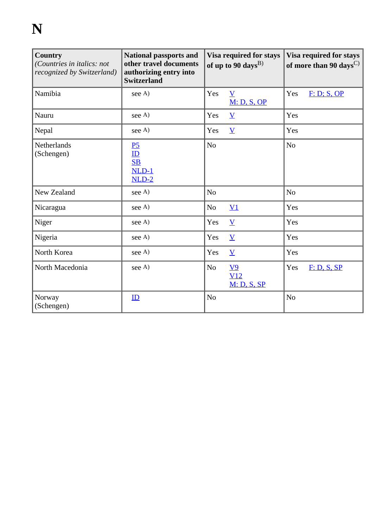# **N**

| <b>Country</b><br>(Countries in italics: not<br>recognized by Switzerland) | <b>National passports and</b><br>other travel documents<br>authorizing entry into<br><b>Switzerland</b> | Visa required for stays<br>of up to 90 days <sup>B)</sup> | Visa required for stays<br>of more than 90 days <sup><math>C</math></sup> |
|----------------------------------------------------------------------------|---------------------------------------------------------------------------------------------------------|-----------------------------------------------------------|---------------------------------------------------------------------------|
| Namibia                                                                    | see A)                                                                                                  | Yes<br>$\overline{\mathbf{V}}$<br><b>M: D, S, OP</b>      | Yes<br>F: D; S, OP                                                        |
| Nauru                                                                      | see A)                                                                                                  | Yes<br>$\underline{\mathbf{V}}$                           | Yes                                                                       |
| Nepal                                                                      | see A)                                                                                                  | Yes<br>$\underline{V}$                                    | Yes                                                                       |
| Netherlands<br>(Schengen)                                                  | P <sub>5</sub><br>$\underline{\text{ID}}$<br>S <sub>B</sub><br>$NLD-1$<br>$NLD-2$                       | N <sub>o</sub>                                            | N <sub>o</sub>                                                            |
| New Zealand                                                                | see A)                                                                                                  | N <sub>o</sub>                                            | N <sub>o</sub>                                                            |
| Nicaragua                                                                  | see A)                                                                                                  | N <sub>o</sub><br>$\underline{V1}$                        | Yes                                                                       |
| Niger                                                                      | see A)                                                                                                  | Yes<br>$\underline{V}$                                    | Yes                                                                       |
| Nigeria                                                                    | see A)                                                                                                  | Yes<br>$\underline{V}$                                    | Yes                                                                       |
| North Korea                                                                | see A)                                                                                                  | $\underline{V}$<br>Yes                                    | Yes                                                                       |
| North Macedonia                                                            | see A)                                                                                                  | N <sub>o</sub><br>$\underline{V}9$<br>V12<br>M: D, S, SP  | Yes<br>F: D, S, SP                                                        |
| Norway<br>(Schengen)                                                       | ID                                                                                                      | N <sub>o</sub>                                            | No                                                                        |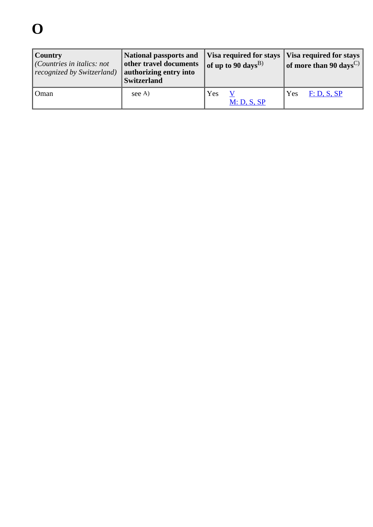# **O**

| Country<br>$ $ (Countries in italics: not<br>recognized by Switzerland) | National passports and Visa required for stays Visa required for stays<br>other travel documents<br>authorizing entry into<br><b>Switzerland</b> | of up to 90 days <sup>B)</sup> | of more than 90 days <sup>C)</sup> |
|-------------------------------------------------------------------------|--------------------------------------------------------------------------------------------------------------------------------------------------|--------------------------------|------------------------------------|
| Oman                                                                    | see A                                                                                                                                            | Yes<br>M: D, S, SP             | F: D, S, SP<br>Yes                 |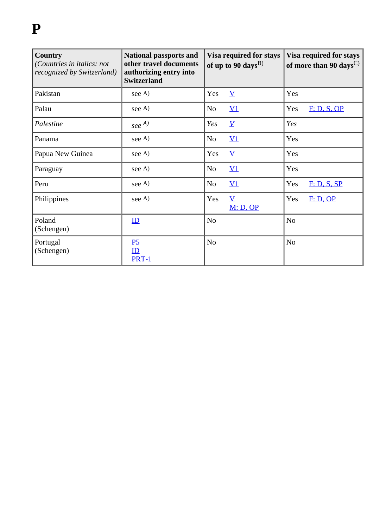# **P**

| <b>Country</b><br>(Countries in italics: not<br>recognized by Switzerland) | <b>National passports and</b><br>other travel documents<br>authorizing entry into<br><b>Switzerland</b> |                | Visa required for stays<br>of up to 90 days <sup>B)</sup> |                | Visa required for stays<br>of more than 90 days <sup><math>C</math></sup> |
|----------------------------------------------------------------------------|---------------------------------------------------------------------------------------------------------|----------------|-----------------------------------------------------------|----------------|---------------------------------------------------------------------------|
| Pakistan                                                                   | see A)                                                                                                  | Yes            | $\underline{V}$                                           | Yes            |                                                                           |
| Palau                                                                      | see A)                                                                                                  | N <sub>o</sub> | $\underline{V1}$                                          | Yes            | F: D, S, OP                                                               |
| Palestine                                                                  | $\int$ see $^{A)}$                                                                                      | Yes            | $\underline{V}$                                           | Yes            |                                                                           |
| Panama                                                                     | see A)                                                                                                  | N <sub>o</sub> | $\underline{V1}$                                          | Yes            |                                                                           |
| Papua New Guinea                                                           | see A)                                                                                                  | Yes            | $\underline{\mathbf{V}}$                                  | Yes            |                                                                           |
| Paraguay                                                                   | see A)                                                                                                  | N <sub>o</sub> | $\underline{V1}$                                          | Yes            |                                                                           |
| Peru                                                                       | see A)                                                                                                  | N <sub>o</sub> | $\underline{V1}$                                          | Yes            | F: D, S, SP                                                               |
| Philippines                                                                | see A)                                                                                                  | Yes            | $\overline{\mathbf{V}}$<br>M: D, OP                       | Yes            | F: D, OP                                                                  |
| Poland<br>(Schengen)                                                       | ID                                                                                                      | N <sub>o</sub> |                                                           | N <sub>o</sub> |                                                                           |
| Portugal<br>(Schengen)                                                     | $\overline{P2}$<br>ID<br>PRT-1                                                                          | N <sub>o</sub> |                                                           | N <sub>o</sub> |                                                                           |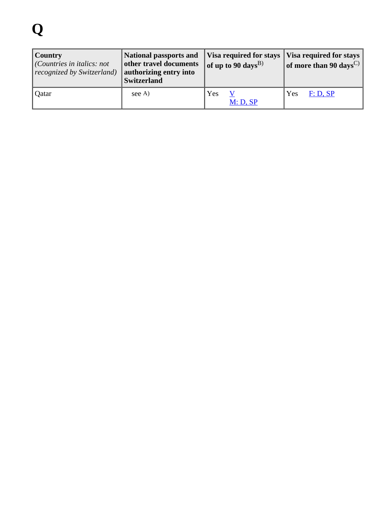# **Q**

| Country<br>$ $ (Countries in italics: not<br>recognized by Switzerland) | National passports and Visa required for stays Visa required for stays  <br>other travel documents<br>authorizing entry into<br><b>Switzerland</b> | of up to 90 days <sup>B)</sup> | of more than 90 days <sup>C)</sup> |
|-------------------------------------------------------------------------|----------------------------------------------------------------------------------------------------------------------------------------------------|--------------------------------|------------------------------------|
| Qatar                                                                   | see A                                                                                                                                              | Yes<br>M: D, SP                | Yes<br>F: D, SP                    |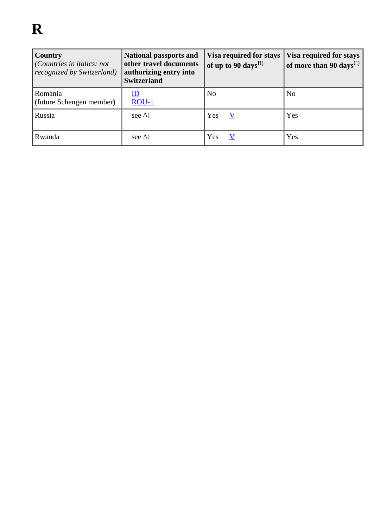| Country<br>$\vert$ (Countries in italics: not<br>recognized by Switzerland) | <b>National passports and</b><br>other travel documents<br>authorizing entry into<br><b>Switzerland</b> | <b>Visa required for stays</b><br>of up to 90 days <sup>B)</sup> | <b>Visa required for stays</b><br>$\vert$ of more than 90 days $^{\rm C)}$ $\vert$ |
|-----------------------------------------------------------------------------|---------------------------------------------------------------------------------------------------------|------------------------------------------------------------------|------------------------------------------------------------------------------------|
| Romania<br>(future Schengen member)                                         | <u>ID</u><br>$ROU-1$                                                                                    | N <sub>0</sub>                                                   | N <sub>o</sub>                                                                     |
| Russia                                                                      | see A)                                                                                                  | Yes                                                              | Yes                                                                                |
| Rwanda                                                                      | see A)                                                                                                  | Yes                                                              | Yes                                                                                |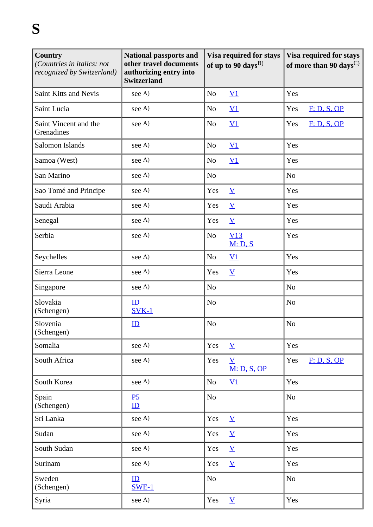| Country<br>(Countries in italics: not<br>recognized by Switzerland) | National passports and<br>other travel documents<br>authorizing entry into<br><b>Switzerland</b> | Visa required for stays<br>of up to 90 days <sup>B)</sup> | Visa required for stays<br>of more than 90 days <sup>C)</sup> |
|---------------------------------------------------------------------|--------------------------------------------------------------------------------------------------|-----------------------------------------------------------|---------------------------------------------------------------|
| <b>Saint Kitts and Nevis</b>                                        | see A)                                                                                           | N <sub>o</sub><br>$\underline{V1}$                        | Yes                                                           |
| Saint Lucia                                                         | see A)                                                                                           | N <sub>o</sub><br>$\underline{V1}$                        | F: D, S, OP<br>Yes                                            |
| Saint Vincent and the<br>Grenadines                                 | see A)                                                                                           | N <sub>o</sub><br>$\underline{V1}$                        | F: D, S, OP<br>Yes                                            |
| Salomon Islands                                                     | see A)                                                                                           | $\underline{V1}$<br>N <sub>o</sub>                        | Yes                                                           |
| Samoa (West)                                                        | see A)                                                                                           | $\underline{V1}$<br>N <sub>0</sub>                        | Yes                                                           |
| San Marino                                                          | see A)                                                                                           | N <sub>o</sub>                                            | N <sub>o</sub>                                                |
| Sao Tomé and Principe                                               | see A)                                                                                           | $\underline{\mathbf{V}}$<br>Yes                           | Yes                                                           |
| Saudi Arabia                                                        | see A)                                                                                           | $\underline{\mathbf{V}}$<br>Yes                           | Yes                                                           |
| Senegal                                                             | see A)                                                                                           | $\underline{\mathbf{V}}$<br>Yes                           | Yes                                                           |
| Serbia                                                              | see A)                                                                                           | V13<br>N <sub>o</sub><br>M: D, S                          | Yes                                                           |
| Seychelles                                                          | see A)                                                                                           | N <sub>o</sub><br>$\underline{V1}$                        | Yes                                                           |
| Sierra Leone                                                        | see A)                                                                                           | Yes<br>$\underline{\mathbf{V}}$                           | Yes                                                           |
| Singapore                                                           | see A)                                                                                           | N <sub>o</sub>                                            | N <sub>o</sub>                                                |
| Slovakia<br>(Schengen)                                              | ID<br>$SVK-1$                                                                                    | N <sub>o</sub>                                            | N <sub>o</sub>                                                |
| Slovenia<br>(Schengen)                                              | ID                                                                                               | N <sub>o</sub>                                            | N <sub>o</sub>                                                |
| Somalia                                                             | see A)                                                                                           | Yes<br>$\underline{V}$                                    | Yes                                                           |
| South Africa                                                        | see A)                                                                                           | Yes<br>$\underline{V}$<br>M: D, S, OP                     | Yes<br>F: D, S, OP                                            |
| South Korea                                                         | see A)                                                                                           | $\underline{V1}$<br>N <sub>o</sub>                        | Yes                                                           |
| Spain<br>(Schengen)                                                 | P <sub>5</sub><br>$\mathbf{ID}$                                                                  | N <sub>o</sub>                                            | N <sub>o</sub>                                                |
| Sri Lanka                                                           | see A)                                                                                           | Yes<br>$\underline{\mathbf{V}}$                           | Yes                                                           |
| Sudan                                                               | see A)                                                                                           | Yes<br>$\underline{\mathbf{V}}$                           | Yes                                                           |
| South Sudan                                                         | see A)                                                                                           | Yes<br>$\underline{\mathbf{V}}$                           | Yes                                                           |
| Surinam                                                             | see A)                                                                                           | Yes<br>$\underline{V}$                                    | Yes                                                           |
| Sweden<br>(Schengen)                                                | ID<br><b>SWE-1</b>                                                                               | No                                                        | N <sub>o</sub>                                                |
| Syria                                                               | see A)                                                                                           | $\underline{V}$<br>Yes                                    | Yes                                                           |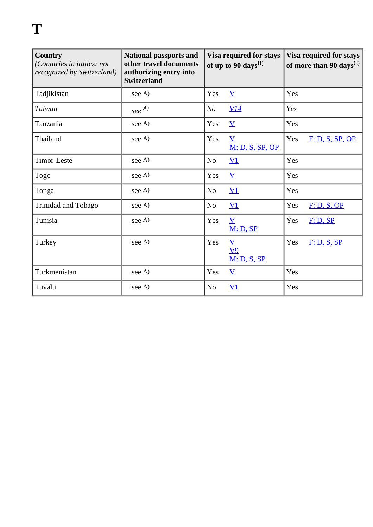| <b>Country</b><br>(Countries in italics: not<br>recognized by Switzerland) | <b>National passports and</b><br>other travel documents<br>authorizing entry into<br><b>Switzerland</b> | Visa required for stays<br>of up to 90 days <sup>B)</sup> |                                                             | Visa required for stays<br>of more than 90 days <sup><math>C</math></sup> |                 |
|----------------------------------------------------------------------------|---------------------------------------------------------------------------------------------------------|-----------------------------------------------------------|-------------------------------------------------------------|---------------------------------------------------------------------------|-----------------|
| Tadjikistan                                                                | see A)                                                                                                  | Yes                                                       | $\underline{V}$                                             | Yes                                                                       |                 |
| Taiwan                                                                     | $\operatorname{see}^{A)}$                                                                               | N <sub>O</sub>                                            | <u>V14</u>                                                  | Yes                                                                       |                 |
| Tanzania                                                                   | see A)                                                                                                  | Yes                                                       | $\underline{V}$                                             | Yes                                                                       |                 |
| Thailand                                                                   | see A)                                                                                                  | Yes                                                       | $\overline{\mathbf{V}}$<br>M: D, S, SP, OP                  | Yes                                                                       | F: D, S, SP, OP |
| Timor-Leste                                                                | see A)                                                                                                  | N <sub>o</sub>                                            | $\underline{V1}$                                            | Yes                                                                       |                 |
| Togo                                                                       | see A)                                                                                                  | Yes                                                       | $\underline{V}$                                             | Yes                                                                       |                 |
| Tonga                                                                      | see A)                                                                                                  | N <sub>o</sub>                                            | $\underline{V1}$                                            | Yes                                                                       |                 |
| Trinidad and Tobago                                                        | see A)                                                                                                  | N <sub>o</sub>                                            | $\underline{V1}$                                            | Yes                                                                       | F: D, S, OP     |
| Tunisia                                                                    | see A)                                                                                                  | Yes                                                       | $\underline{V}$<br>M: D, SP                                 | Yes                                                                       | F: D, SP        |
| Turkey                                                                     | see A)                                                                                                  | Yes                                                       | $\underline{\mathbf{V}}$<br>$\underline{V9}$<br>M: D, S, SP | Yes                                                                       | F: D, S, SP     |
| Turkmenistan                                                               | see A)                                                                                                  | Yes                                                       | $\underline{V}$                                             | Yes                                                                       |                 |
| Tuvalu                                                                     | see A)                                                                                                  | N <sub>o</sub>                                            | $\underline{V1}$                                            | Yes                                                                       |                 |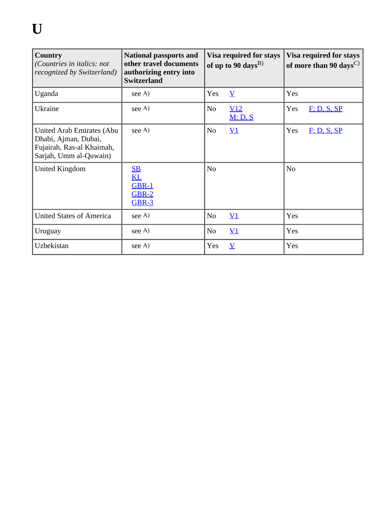| Country<br>(Countries in italics: not<br>recognized by Switzerland)                                      | <b>National passports and</b><br>other travel documents<br>authorizing entry into<br><b>Switzerland</b> | Visa required for stays<br>of up to 90 days <sup>B)</sup> |                       | Visa required for stays<br>of more than 90 days <sup><math>C</math>)</sup> |
|----------------------------------------------------------------------------------------------------------|---------------------------------------------------------------------------------------------------------|-----------------------------------------------------------|-----------------------|----------------------------------------------------------------------------|
| Uganda                                                                                                   | see A)                                                                                                  | Yes                                                       | $\underline{V}$       | Yes                                                                        |
| Ukraine                                                                                                  | see A)                                                                                                  | N <sub>o</sub>                                            | V12<br><u>M: D, S</u> | Yes<br>F: D, S, SP                                                         |
| United Arab Emirates (Abu<br>Dhabi, Ajman, Dubai,<br>Fujairah, Ras-al Khaimah,<br>Sarjah, Umm al-Quwain) | see A)                                                                                                  | N <sub>o</sub>                                            | $\underline{V1}$      | Yes<br>F: D, S, SP                                                         |
| United Kingdom                                                                                           | S <sub>B</sub><br>$\mathbf{KL}$<br>GBR-1<br>$GBR-2$<br><b>GBR-3</b>                                     | N <sub>o</sub>                                            |                       | N <sub>o</sub>                                                             |
| United States of America                                                                                 | see A)                                                                                                  | N <sub>0</sub>                                            | $\underline{V1}$      | Yes                                                                        |
| Uruguay                                                                                                  | see A)                                                                                                  | N <sub>o</sub>                                            | $\underline{V1}$      | Yes                                                                        |
| Uzbekistan                                                                                               | see A)                                                                                                  | Yes                                                       | $\underline{V}$       | Yes                                                                        |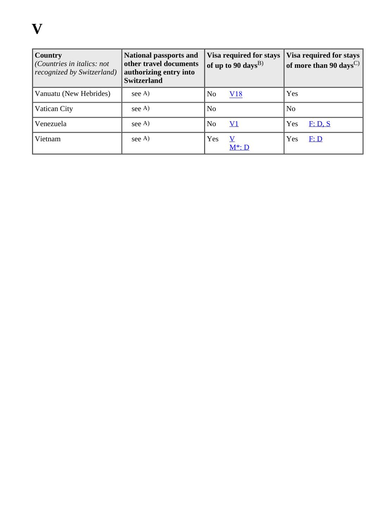| Country<br>(Countries in italics: not<br>recognized by Switzerland) | <b>National passports and</b><br>other travel documents<br>authorizing entry into<br><b>Switzerland</b> | <b>Visa required for stays</b><br>of up to 90 days <sup>B)</sup> | <b>Visa required for stays</b><br>of more than 90 days <sup>C)</sup> |
|---------------------------------------------------------------------|---------------------------------------------------------------------------------------------------------|------------------------------------------------------------------|----------------------------------------------------------------------|
| Vanuatu (New Hebrides)                                              | see A)                                                                                                  | V18<br>N <sub>0</sub>                                            | Yes                                                                  |
| Vatican City                                                        | see A)                                                                                                  | N <sub>0</sub>                                                   | N <sub>o</sub>                                                       |
| Venezuela                                                           | see A)                                                                                                  | N <sub>o</sub><br><u>V1</u>                                      | Yes<br>F: D, S                                                       |
| Vietnam                                                             | see A)                                                                                                  | Yes<br>V<br>$M^*: D$                                             | Yes<br>F: D                                                          |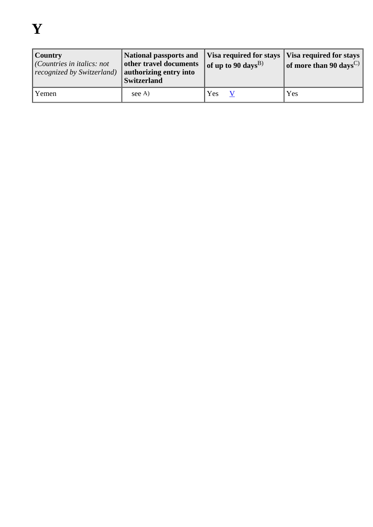| <b>Country</b><br>$ $ (Countries in italics: not<br>recognized by Switzerland) | National passports and Visa required for stays Visa required for stays<br>other travel documents<br>authorizing entry into<br><b>Switzerland</b> | of up to 90 days <sup>B)</sup> | of more than 90 days <sup>C)</sup> |
|--------------------------------------------------------------------------------|--------------------------------------------------------------------------------------------------------------------------------------------------|--------------------------------|------------------------------------|
| Yemen                                                                          | see A                                                                                                                                            | Yes                            | Yes                                |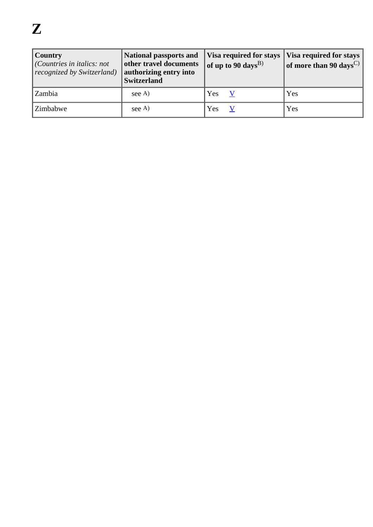| <b>Country</b><br>(Countries in italics: not<br>recognized by Switzerland) | <b>National passports and</b><br>other travel documents<br>authorizing entry into<br><b>Switzerland</b> | Visa required for stays   Visa required for stays  <br>of up to 90 days <sup>B)</sup> | of more than 90 days <sup>C)</sup> |
|----------------------------------------------------------------------------|---------------------------------------------------------------------------------------------------------|---------------------------------------------------------------------------------------|------------------------------------|
| Zambia                                                                     | see A)                                                                                                  | Yes                                                                                   | Yes                                |
| Zimbabwe                                                                   | see A)                                                                                                  | Yes                                                                                   | Yes                                |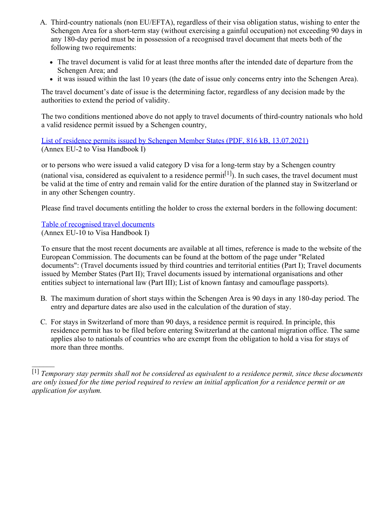- A. Third-country nationals (non EU/EFTA), regardless of their visa obligation status, wishing to enter the Schengen Area for a short-term stay (without exercising a gainful occupation) not exceeding 90 days in any 180-day period must be in possession of a recognised travel document that meets both of the following two requirements:
	- The travel document is valid for at least three months after the intended date of departure from the Schengen Area; and
	- it was issued within the last 10 years (the date of issue only concerns entry into the Schengen Area).

The travel document's date of issue is the determining factor, regardless of any decision made by the authorities to extend the period of validity.

The two conditions mentioned above do not apply to travel documents of third-country nationals who hold a valid residence permit issued by a Schengen country,

[List of residence permits issued by Schengen Member States \(PDF, 816 kB, 13.07.2021\)](https://www.sem.admin.ch/dam/sem/en/data/rechtsgrundlagen/weisungen/visa/vhb/vhb1-anh02-e.pdf.download.pdf/vhb1-anh02-e.pdf) (Annex EU-2 to Visa Handbook I)

or to persons who were issued a valid category D visa for a long-term stay by a Schengen country (national visa, considered as equivalent to a residence permit<sup>[1]</sup>). In such cases, the travel document must be valid at the time of entry and remain valid for the entire duration of the planned stay in Switzerland or in any other Schengen country.

Please find travel documents entitling the holder to cross the external borders in the following document:

#### [Table of recognised travel documents](https://ec.europa.eu/home-affairs/policies/schengen-borders-and-visa/border-crossing_en) (Annex EU-10 to Visa Handbook I)

 $\frac{1}{2}$ 

To ensure that the most recent documents are available at all times, reference is made to the website of the European Commission. The documents can be found at the bottom of the page under "Related documents": (Travel documents issued by third countries and territorial entities (Part I); Travel documents issued by Member States (Part II); Travel documents issued by international organisations and other entities subject to international law (Part III); List of known fantasy and camouflage passports).

- B. The maximum duration of short stays within the Schengen Area is 90 days in any 180-day period. The entry and departure dates are also used in the calculation of the duration of stay.
- C. For stays in Switzerland of more than 90 days, a residence permit is required. In principle, this residence permit has to be filed before entering Switzerland at the cantonal migration office. The same applies also to nationals of countries who are exempt from the obligation to hold a visa for stays of more than three months.

<sup>[1]</sup> *Temporary stay permits shall not be considered as equivalent to a residence permit, since these documents are only issued for the time period required to review an initial application for a residence permit or an application for asylum.*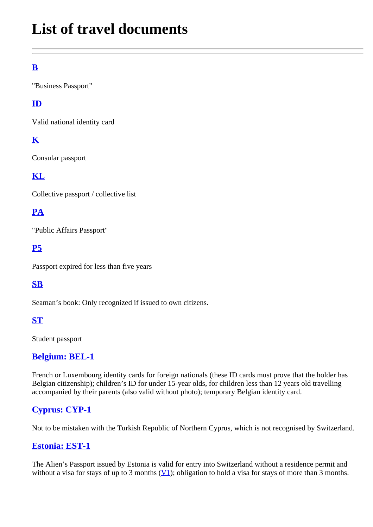# **List of travel documents**

# **[B](https://www.sem.admin.ch/sem/en/home/publiservice/weisungen-kreisschreiben/visa/liste1_staatsangehoerigkeit/leg_reisedoks/b.html)**

"Business Passport"

## **[ID](https://www.sem.admin.ch/sem/en/home/publiservice/weisungen-kreisschreiben/visa/liste1_staatsangehoerigkeit/leg_reisedoks/id.html)**

Valid national identity card

## **[K](https://www.sem.admin.ch/sem/en/home/publiservice/weisungen-kreisschreiben/visa/liste1_staatsangehoerigkeit/leg_reisedoks/k.html)**

Consular passport

## **[KL](https://www.sem.admin.ch/sem/en/home/publiservice/weisungen-kreisschreiben/visa/liste1_staatsangehoerigkeit/leg_reisedoks/kl.html)**

Collective passport / collective list

## **[PA](https://www.sem.admin.ch/sem/en/home/publiservice/weisungen-kreisschreiben/visa/liste1_staatsangehoerigkeit/leg_reisedoks/pa.html)**

"Public Affairs Passport"

#### **[P5](https://www.sem.admin.ch/sem/en/home/publiservice/weisungen-kreisschreiben/visa/liste1_staatsangehoerigkeit/leg_reisedoks/p5.html)**

Passport expired for less than five years

## **[SB](https://www.sem.admin.ch/sem/en/home/publiservice/weisungen-kreisschreiben/visa/liste1_staatsangehoerigkeit/leg_reisedoks/sb.html)**

Seaman's book: Only recognized if issued to own citizens.

#### **[ST](https://www.sem.admin.ch/sem/en/home/publiservice/weisungen-kreisschreiben/visa/liste1_staatsangehoerigkeit/leg_reisedoks/st.html)**

Student passport

#### **[Belgium: BEL-1](https://www.sem.admin.ch/sem/en/home/publiservice/weisungen-kreisschreiben/visa/liste1_staatsangehoerigkeit/leg_reisedoks/BEL-1.html)**

French or Luxembourg identity cards for foreign nationals (these ID cards must prove that the holder has Belgian citizenship); children's ID for under 15-year olds, for children less than 12 years old travelling accompanied by their parents (also valid without photo); temporary Belgian identity card.

#### **[Cyprus: CYP-1](https://www.sem.admin.ch/sem/en/home/publiservice/weisungen-kreisschreiben/visa/liste1_staatsangehoerigkeit/leg_reisedoks/CYP-1.html)**

Not to be mistaken with the Turkish Republic of Northern Cyprus, which is not recognised by Switzerland.

#### **[Estonia: EST-1](https://www.sem.admin.ch/sem/en/home/publiservice/weisungen-kreisschreiben/visa/liste1_staatsangehoerigkeit/leg_reisedoks/EST-1.html)**

The Alien's Passport issued by Estonia is valid for entry into Switzerland without a residence permit and without a visa for stays of up to 3 months  $(V1)$  $(V1)$  $(V1)$ ; obligation to hold a visa for stays of more than 3 months.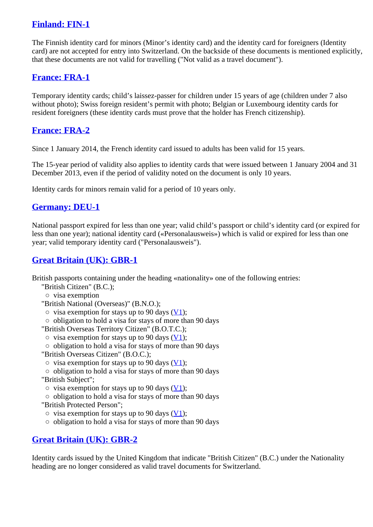#### **[Finland: FIN-1](https://www.sem.admin.ch/sem/en/home/publiservice/weisungen-kreisschreiben/visa/liste1_staatsangehoerigkeit/leg_reisedoks/FIN-1.html)**

The Finnish identity card for minors (Minor's identity card) and the identity card for foreigners (Identity card) are not accepted for entry into Switzerland. On the backside of these documents is mentioned explicitly, that these documents are not valid for travelling ("Not valid as a travel document").

#### **[France: FRA-1](https://www.sem.admin.ch/sem/en/home/publiservice/weisungen-kreisschreiben/visa/liste1_staatsangehoerigkeit/leg_reisedoks/FRA-1.html)**

Temporary identity cards; child's laissez-passer for children under 15 years of age (children under 7 also without photo); Swiss foreign resident's permit with photo; Belgian or Luxembourg identity cards for resident foreigners (these identity cards must prove that the holder has French citizenship).

#### **[France: FRA-2](https://www.sem.admin.ch/sem/en/home/publiservice/weisungen-kreisschreiben/visa/liste1_staatsangehoerigkeit/leg_reisedoks/FRA-2.html)**

Since 1 January 2014, the French identity card issued to adults has been valid for 15 years.

The 15-year period of validity also applies to identity cards that were issued between 1 January 2004 and 31 December 2013, even if the period of validity noted on the document is only 10 years.

Identity cards for minors remain valid for a period of 10 years only.

#### **[Germany: DEU-1](https://www.sem.admin.ch/sem/en/home/publiservice/weisungen-kreisschreiben/visa/liste1_staatsangehoerigkeit/leg_reisedoks/DEU-1.html)**

National passport expired for less than one year; valid child's passport or child's identity card (or expired for less than one year); national identity card («Personalausweis») which is valid or expired for less than one year; valid temporary identity card ("Personalausweis").

#### **[Great Britain \(UK\): GBR-1](https://www.sem.admin.ch/sem/en/home/publiservice/weisungen-kreisschreiben/visa/liste1_staatsangehoerigkeit/leg_reisedoks/GBR-1.html)**

British passports containing under the heading «nationality» one of the following entries:

- "British Citizen" (B.C.);
- visa exemption
- "British National (Overseas)" (B.N.O.);
	- $\circ$  visa exemption for stays up to 90 days [\(V1](https://www.sem.admin.ch/sem/en/home/publiservice/weisungen-kreisschreiben/visa/liste1_staatsangehoerigkeit/leg_visum/v1.html));
	- obligation to hold a visa for stays of more than 90 days
- "British Overseas Territory Citizen" (B.O.T.C.);
- $\circ$  visa exemption for stays up to 90 days ( $\underline{V1}$ );
- obligation to hold a visa for stays of more than 90 days
- "British Overseas Citizen" (B.O.C.);
- $\circ$  visa exemption for stays up to 90 days [\(V1](https://www.sem.admin.ch/sem/en/home/publiservice/weisungen-kreisschreiben/visa/liste1_staatsangehoerigkeit/leg_visum/v1.html));
- obligation to hold a visa for stays of more than 90 days
- "British Subject";
- $\circ$  visa exemption for stays up to 90 days [\(V1](https://www.sem.admin.ch/sem/en/home/publiservice/weisungen-kreisschreiben/visa/liste1_staatsangehoerigkeit/leg_visum/v1.html));
- obligation to hold a visa for stays of more than 90 days
- "British Protected Person";
	- $\circ$  visa exemption for stays up to 90 days [\(V1](https://www.sem.admin.ch/sem/en/home/publiservice/weisungen-kreisschreiben/visa/liste1_staatsangehoerigkeit/leg_visum/v1.html));
	- obligation to hold a visa for stays of more than 90 days

#### **[Great Britain \(UK\): GBR-2](https://www.sem.admin.ch/sem/en/home/publiservice/weisungen-kreisschreiben/visa/liste1_staatsangehoerigkeit/leg_reisedoks/GBR-2.html)**

Identity cards issued by the United Kingdom that indicate "British Citizen" (B.C.) under the Nationality heading are no longer considered as valid travel documents for Switzerland.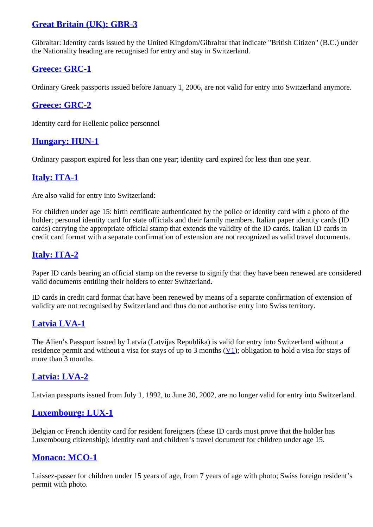#### **[Great Britain \(UK\): GBR-3](https://www.sem.admin.ch/sem/en/home/publiservice/weisungen-kreisschreiben/visa/liste1_staatsangehoerigkeit/leg_reisedoks/GBR-3.html)**

Gibraltar: Identity cards issued by the United Kingdom/Gibraltar that indicate "British Citizen" (B.C.) under the Nationality heading are recognised for entry and stay in Switzerland.

#### **[Greece: GRC-1](https://www.sem.admin.ch/sem/en/home/publiservice/weisungen-kreisschreiben/visa/liste1_staatsangehoerigkeit/leg_reisedoks/GRC-1.html)**

Ordinary Greek passports issued before January 1, 2006, are not valid for entry into Switzerland anymore.

#### **[Greece: GRC-2](https://www.sem.admin.ch/sem/en/home/publiservice/weisungen-kreisschreiben/visa/liste1_staatsangehoerigkeit/leg_reisedoks/GRC-2.html)**

Identity card for Hellenic police personnel

#### **[Hungary: HUN-1](https://www.sem.admin.ch/sem/en/home/publiservice/weisungen-kreisschreiben/visa/liste1_staatsangehoerigkeit/leg_reisedoks/HUN-1.html)**

Ordinary passport expired for less than one year; identity card expired for less than one year.

#### **[Italy: ITA-1](https://www.sem.admin.ch/sem/en/home/publiservice/weisungen-kreisschreiben/visa/liste1_staatsangehoerigkeit/leg_reisedoks/ITA-1.html)**

Are also valid for entry into Switzerland:

For children under age 15: birth certificate authenticated by the police or identity card with a photo of the holder; personal identity card for state officials and their family members. Italian paper identity cards (ID cards) carrying the appropriate official stamp that extends the validity of the ID cards. Italian ID cards in credit card format with a separate confirmation of extension are not recognized as valid travel documents.

## **[Italy: ITA-2](https://www.sem.admin.ch/sem/en/home/publiservice/weisungen-kreisschreiben/visa/liste1_staatsangehoerigkeit/leg_reisedoks/ITA-2.html)**

Paper ID cards bearing an official stamp on the reverse to signify that they have been renewed are considered valid documents entitling their holders to enter Switzerland.

ID cards in credit card format that have been renewed by means of a separate confirmation of extension of validity are not recognised by Switzerland and thus do not authorise entry into Swiss territory.

#### **[Latvia LVA-1](https://www.sem.admin.ch/sem/en/home/publiservice/weisungen-kreisschreiben/visa/liste1_staatsangehoerigkeit/leg_reisedoks/LVA-1.html)**

The Alien's Passport issued by Latvia (Latvijas Republika) is valid for entry into Switzerland without a residence permit and without a visa for stays of up to 3 months  $(V_1)$ ; obligation to hold a visa for stays of more than 3 months.

#### **[Latvia: LVA-2](https://www.sem.admin.ch/sem/en/home/publiservice/weisungen-kreisschreiben/visa/liste1_staatsangehoerigkeit/leg_reisedoks/LVA-2.html)**

Latvian passports issued from July 1, 1992, to June 30, 2002, are no longer valid for entry into Switzerland.

#### **[Luxembourg: LUX-1](https://www.sem.admin.ch/sem/en/home/publiservice/weisungen-kreisschreiben/visa/liste1_staatsangehoerigkeit/leg_reisedoks/LUX-1.html)**

Belgian or French identity card for resident foreigners (these ID cards must prove that the holder has Luxembourg citizenship); identity card and children's travel document for children under age 15.

#### **[Monaco: MCO-1](https://www.sem.admin.ch/sem/en/home/publiservice/weisungen-kreisschreiben/visa/liste1_staatsangehoerigkeit/leg_reisedoks/MCO-1.html)**

Laissez-passer for children under 15 years of age, from 7 years of age with photo; Swiss foreign resident's permit with photo.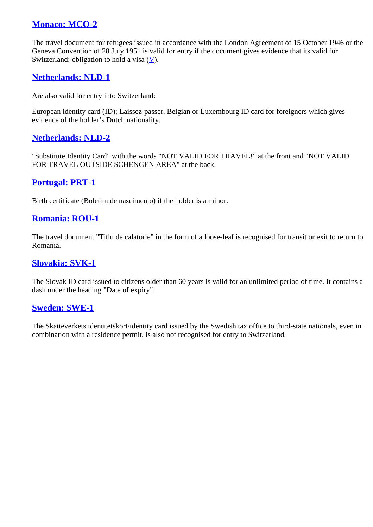#### **[Monaco: MCO-2](https://www.sem.admin.ch/sem/en/home/publiservice/weisungen-kreisschreiben/visa/liste1_staatsangehoerigkeit/leg_reisedoks/MCO-2.html)**

The travel document for refugees issued in accordance with the London Agreement of 15 October 1946 or the Geneva Convention of 28 July 1951 is valid for entry if the document gives evidence that its valid for Switzerland; obligation to hold a visa  $(V)$  $(V)$ .

#### **[Netherlands: NLD-1](https://www.sem.admin.ch/sem/en/home/publiservice/weisungen-kreisschreiben/visa/liste1_staatsangehoerigkeit/leg_reisedoks/NLD-1.html)**

Are also valid for entry into Switzerland:

European identity card (ID); Laissez-passer, Belgian or Luxembourg ID card for foreigners which gives evidence of the holder's Dutch nationality.

#### **[Netherlands: NLD-2](https://www.sem.admin.ch/sem/en/home/publiservice/weisungen-kreisschreiben/visa/liste1_staatsangehoerigkeit/leg_reisedoks/NLD-2.html)**

"Substitute Identity Card" with the words "NOT VALID FOR TRAVEL!" at the front and "NOT VALID FOR TRAVEL OUTSIDE SCHENGEN AREA" at the back.

#### **[Portugal: PRT-1](https://www.sem.admin.ch/sem/en/home/publiservice/weisungen-kreisschreiben/visa/liste1_staatsangehoerigkeit/leg_reisedoks/PRT-1.html)**

Birth certificate (Boletim de nascimento) if the holder is a minor.

#### **[Romania: ROU-1](https://www.sem.admin.ch/sem/en/home/publiservice/weisungen-kreisschreiben/visa/liste1_staatsangehoerigkeit/leg_reisedoks/ROU-1.html)**

The travel document "Titlu de calatorie" in the form of a loose-leaf is recognised for transit or exit to return to Romania.

#### **[Slovakia: SVK-1](https://www.sem.admin.ch/sem/en/home/publiservice/weisungen-kreisschreiben/visa/liste1_staatsangehoerigkeit/leg_reisedoks/SVK-1.html)**

The Slovak ID card issued to citizens older than 60 years is valid for an unlimited period of time. It contains a dash under the heading "Date of expiry".

#### **[Sweden: SWE-1](https://www.sem.admin.ch/sem/en/home/publiservice/weisungen-kreisschreiben/visa/liste1_staatsangehoerigkeit/leg_reisedoks/SWE-1.html)**

The Skatteverkets identitetskort/identity card issued by the Swedish tax office to third-state nationals, even in combination with a residence permit, is also not recognised for entry to Switzerland.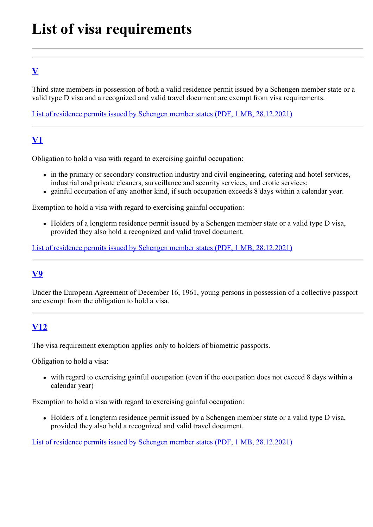# **List of visa requirements**

# **[V](https://www.sem.admin.ch/sem/en/home/publiservice/weisungen-kreisschreiben/visa/liste1_staatsangehoerigkeit/leg_visum/v.html)**

Third state members in possession of both a valid residence permit issued by a Schengen member state or a valid type D visa and a recognized and valid travel document are exempt from visa requirements.

[List of residence permits issued by Schengen member states \(PDF, 1 MB, 28.12.2021\)](https://www.sem.admin.ch/dam/sem/en/data/rechtsgrundlagen/weisungen/visa/vhb/vhb1-anh02-e.pdf.download.pdf/vhb1-anh02-e.pdf)

# **V1**

Obligation to hold a visa with regard to exercising gainful occupation:

- in the primary or secondary construction industry and civil engineering, catering and hotel services, industrial and private cleaners, surveillance and security services, and erotic services;
- gainful occupation of any another kind, if such occupation exceeds 8 days within a calendar year.

Exemption to hold a visa with regard to exercising gainful occupation:

• Holders of a longterm residence permit issued by a Schengen member state or a valid type D visa, provided they also hold a recognized and valid travel document.

[List of residence permits issued by Schengen member states \(PDF, 1 MB, 28.12.2021\)](https://www.sem.admin.ch/dam/sem/en/data/rechtsgrundlagen/weisungen/visa/vhb/vhb1-anh02-e.pdf.download.pdf/vhb1-anh02-e.pdf)

## **V9**

Under the European Agreement of December 16, 1961, young persons in possession of a collective passport [are ex](https://www.sem.admin.ch/sem/en/home/publiservice/weisungen-kreisschreiben/visa/liste1_staatsangehoerigkeit/leg_visum/v12.html)empt from the obligation to hold a visa.

## **V12**

The visa requirement exemption applies only to holders of biometric passports.

Obligation to hold a visa:

with regard to exercising gainful occupation (even if the occupation does not exceed 8 days within a calendar year)

Exemption to hold a visa with regard to exercising gainful occupation:

• [Holders of a longterm residence permit issued by a Schengen member state or a](https://www.sem.admin.ch/dam/sem/en/data/rechtsgrundlagen/weisungen/visa/vhb/vhb1-anh02-e.pdf.download.pdf/vhb1-anh02-e.pdf) valid type D visa, provided they also hold a recognized and valid travel document.

List of residence permits issued by Schengen member states (PDF, 1 MB, 28.12.2021)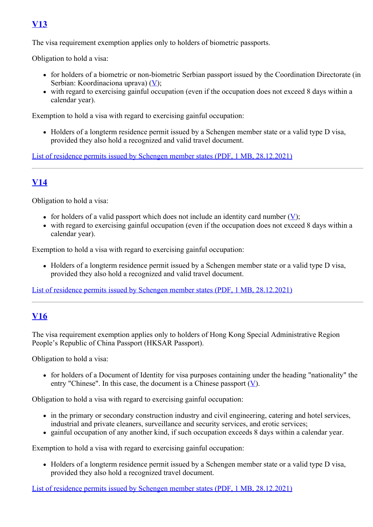## **[V13](https://www.sem.admin.ch/sem/en/home/publiservice/weisungen-kreisschreiben/visa/liste1_staatsangehoerigkeit/leg_visum/v13.html)**

The visa requirement exemption applies only to holders of biometric passports.

Obligation to hold a visa:

- for holders of a biometric or non-biometric Serbian passport issued by the Coordination Directorate (in Serbian: Koordinaciona uprav[a\)](https://www.sem.admin.ch/sem/en/home/publiservice/weisungen-kreisschreiben/visa/liste1_staatsangehoerigkeit/leg_visum/v.html) (V);
- with regard to exercising gainful occupation (even if the occupation does not exceed 8 days within a calendar year).

Exemption to hold a visa with regard to exercising gainful occupation:

Holders of a longterm residence permit issued by a Schengen member state or a valid type D visa, provided they also hold a recognized and valid travel document.

[List of residence permits issued by Schengen member states \(PDF, 1 MB, 28.12.2021\)](https://www.sem.admin.ch/dam/sem/en/data/rechtsgrundlagen/weisungen/visa/vhb/vhb1-anh02-e.pdf.download.pdf/vhb1-anh02-e.pdf)

## **[V14](https://www.sem.admin.ch/sem/en/home/publiservice/weisungen-kreisschreiben/visa/liste1_staatsangehoerigkeit/leg_visum/v14.html)**

Obligation to hold a visa:

- for hold[er](https://www.sem.admin.ch/sem/en/home/publiservice/weisungen-kreisschreiben/visa/liste1_staatsangehoerigkeit/leg_visum/v.html)s of a valid passport which does not include an identity card number  $(V)$ ;
- with regard to exercising gainful occupation (even if the occupation does not exceed 8 days within a calendar year).

Exemption to hold a visa with regard to exercising gainful occupation:

• Holders of a longterm residence permit issued by a Schengen member state or a valid type D visa, provided they also hold a recognized and valid travel document.

[List of residence permits issued by Schengen member states \(PDF, 1 MB, 28.12.2021\)](https://www.sem.admin.ch/dam/sem/en/data/rechtsgrundlagen/weisungen/visa/vhb/vhb1-anh02-e.pdf.download.pdf/vhb1-anh02-e.pdf)

## **[V16](https://www.sem.admin.ch/sem/en/home/publiservice/weisungen-kreisschreiben/visa/liste1_staatsangehoerigkeit/leg_visum/v16.html)**

The visa requirement exemption applies only to holders of Hong Kong Special Administrative Region People's Republic of China Passport (HKSAR Passport).

Obligation to hold a visa:

for holders of a Document of Identity for visa purposes containing under the heading "nationality" the entry "Chinese". In this case, the document is a Chinese passp[ort](https://www.sem.admin.ch/sem/en/home/publiservice/weisungen-kreisschreiben/visa/liste1_staatsangehoerigkeit/leg_visum/v.html)  $(\underline{V})$ .

Obligation to hold a visa with regard to exercising gainful occupation:

- in the primary or secondary construction industry and civil engineering, catering and hotel services, industrial and private cleaners, surveillance and security services, and erotic services;
- gainful occupation of any another kind, if such occupation exceeds 8 days within a calendar year.

Exemption to hold a visa with regard to exercising gainful occupation:

• Holders of a longterm residence permit issued by a Schengen member state or a valid type D visa, provided they also hold a recognized travel document.

[List of residence permits issued by Schengen member states \(PDF, 1 MB, 28.12.2021\)](https://www.sem.admin.ch/dam/sem/en/data/rechtsgrundlagen/weisungen/visa/vhb/vhb1-anh02-e.pdf.download.pdf/vhb1-anh02-e.pdf)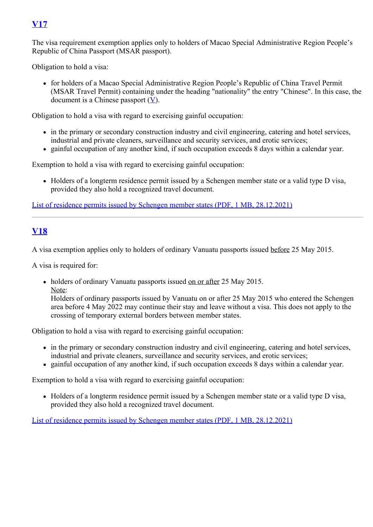## **[V17](https://www.sem.admin.ch/sem/en/home/publiservice/weisungen-kreisschreiben/visa/liste1_staatsangehoerigkeit/leg_visum/v17.html)**

The visa requirement exemption applies only to holders of Macao Special Administrative Region People's Republic of China Passport (MSAR passport).

Obligation to hold a visa:

for holders of a Macao Special Administrative Region People's Republic of China Travel Permit (MSAR Travel Permit) containing under the heading "nationality" the entry "Chinese". In this case, the document is a Chi[nes](https://www.sem.admin.ch/sem/en/home/publiservice/weisungen-kreisschreiben/visa/liste1_staatsangehoerigkeit/leg_visum/v.html)e passport  $(V)$ .

Obligation to hold a visa with regard to exercising gainful occupation:

- in the primary or secondary construction industry and civil engineering, catering and hotel services, industrial and private cleaners, surveillance and security services, and erotic services;
- gainful occupation of any another kind, if such occupation exceeds 8 days within a calendar year.

Exemption to hold a visa with regard to exercising gainful occupation:

• Holders of a longterm residence permit issued by a Schengen member state or a valid type D visa, provided they also hold a recognized travel document.

[List of residence permits issued by Schengen member states \(PDF, 1 MB, 28.12.2021\)](https://www.sem.admin.ch/dam/sem/en/data/rechtsgrundlagen/weisungen/visa/vhb/vhb1-anh02-e.pdf.download.pdf/vhb1-anh02-e.pdf)

#### **V18**

A visa exemption applies only to holders of ordinary Vanuatu passports issued before 25 May 2015.

A visa is required for:

• holders of ordinary Vanuatu passports issued on or after 25 May 2015. Note:

Holders of ordinary passports issued by Vanuatu on or after 25 May 2015 who entered the Schengen area before 4 May 2022 may continue their stay and leave without a visa. This does not apply to the crossing of temporary external borders between member states.

Obligation to hold a visa with regard to exercising gainful occupation:

- in the primary or secondary construction industry and civil engineering, catering and hotel services, industrial and private cleaners, surveillance and security services, and erotic services;
- gainful occupation of any another kind, if such occupation exceeds 8 days within a calendar year.

Exemption to hold a visa with regard to exercising gainful occupation:

Holders of a longterm residence permit issued by a Schengen member state or a valid type D visa, provided they also hold a recognized travel document.

List of residence permits issued by Schengen member states (PDF, 1 MB, 28.12.2021)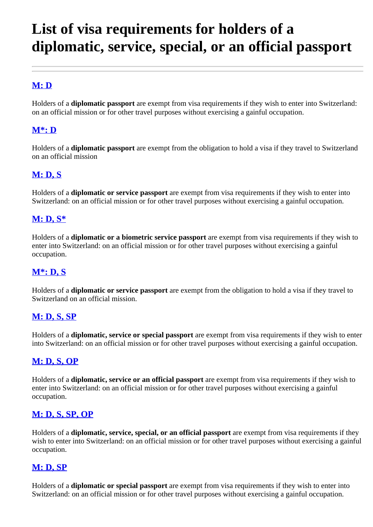# **List of visa requirements for holders of a diplomatic, service, special, or an official passport**

## **[M: D](https://www.sem.admin.ch/sem/en/home/publiservice/weisungen-kreisschreiben/visa/liste1_staatsangehoerigkeit/leg_dipl/m_d.html)**

Holders of a **diplomatic passport** are exempt from visa requirements if they wish to enter into Switzerland: on an official mission or for other travel purposes without exercising a gainful occupation.

#### **[M\\*: D](https://www.sem.admin.ch/sem/en/home/publiservice/weisungen-kreisschreiben/visa/liste1_staatsangehoerigkeit/leg_dipl/m-_d.html)**

Holders of a **diplomatic passport** are exempt from the obligation to hold a visa if they travel to Switzerland on an official mission

#### **[M: D, S](https://www.sem.admin.ch/sem/en/home/publiservice/weisungen-kreisschreiben/visa/liste1_staatsangehoerigkeit/leg_dipl/m_d-s.html)**

Holders of a **diplomatic or service passport** are exempt from visa requirements if they wish to enter into Switzerland: on an official mission or for other travel purposes without exercising a gainful occupation.

#### **[M: D, S\\*](https://www.sem.admin.ch/sem/en/home/publiservice/weisungen-kreisschreiben/visa/liste1_staatsangehoerigkeit/leg_dipl/m_d-s-.html)**

Holders of a **diplomatic or a biometric service passport** are exempt from visa requirements if they wish to enter into Switzerland: on an official mission or for other travel purposes without exercising a gainful occupation.

#### **[M\\*: D, S](https://www.sem.admin.ch/sem/en/home/publiservice/weisungen-kreisschreiben/visa/liste1_staatsangehoerigkeit/leg_dipl/m-_d-s.html)**

Holders of a **diplomatic or service passport** are exempt from the obligation to hold a visa if they travel to Switzerland on an official mission.

#### **[M: D, S, SP](https://www.sem.admin.ch/sem/en/home/publiservice/weisungen-kreisschreiben/visa/liste1_staatsangehoerigkeit/leg_dipl/m_d-s-sp.html)**

Holders of a **diplomatic, service or special passport** are exempt from visa requirements if they wish to enter into Switzerland: on an official mission or for other travel purposes without exercising a gainful occupation.

#### **[M: D, S, OP](https://www.sem.admin.ch/sem/en/home/publiservice/weisungen-kreisschreiben/visa/liste1_staatsangehoerigkeit/leg_dipl/m_d-s-op.html)**

Holders of a **diplomatic, service or an official passport** are exempt from visa requirements if they wish to enter into Switzerland: on an official mission or for other travel purposes without exercising a gainful occupation.

#### **[M: D, S, SP, OP](https://www.sem.admin.ch/sem/en/home/publiservice/weisungen-kreisschreiben/visa/liste1_staatsangehoerigkeit/leg_dipl/m_d-s-sp-op.html)**

Holders of a **diplomatic, service, special, or an official passport** are exempt from visa requirements if they wish to enter into Switzerland: on an official mission or for other travel purposes without exercising a gainful occupation.

#### **[M: D, SP](https://www.sem.admin.ch/sem/en/home/publiservice/weisungen-kreisschreiben/visa/liste1_staatsangehoerigkeit/leg_dipl/m_d-sp.html)**

Holders of a **diplomatic or special passport** are exempt from visa requirements if they wish to enter into Switzerland: on an official mission or for other travel purposes without exercising a gainful occupation.